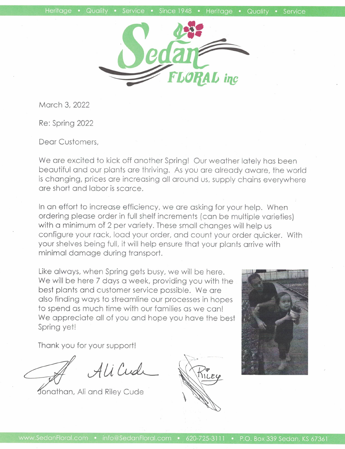

March 3, 2022

Re: Spring 2022

Dear Customers.

We are excited to kick off another Spring! Our weather lately has been beautiful and our plants are thriving. As you are already aware, the world is changing, prices are increasing all around us, supply chains everywhere are short and labor is scarce.

In an effort to increase efficiency, we are asking for your help. When ordering please order in full shelf increments (can be multiple varieties) with a minimum of 2 per variety. These small changes will help us configure your rack, load your order, and count your order quicker. With your shelves being full, it will help ensure that your plants arrive with minimal damage during transport.

Like always, when Spring gets busy, we will be here. We will be here 7 days a week, providing you with the best plants and customer service possible. We are also finding ways to streamline our processes in hopes to spend as much time with our families as we can! We appreciate all of you and hope you have the best Spring yet!

Thank you for your support!

AliCudi

Jonathan, Ali and Riley Cude

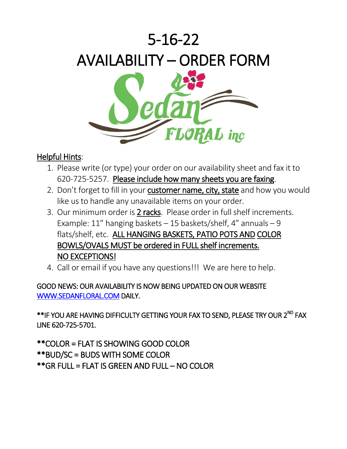

## Helpful Hints:

- 1. Please write (or type) your order on our availability sheet and fax it to 620-725-5257. Please include how many sheets you are faxing.
- 2. Don't forget to fill in your customer name, city, state and how you would like us to handle any unavailable items on your order.
- 3. Our minimum order is 2 racks. Please order in full shelf increments. Example: 11" hanging baskets – 15 baskets/shelf, 4" annuals – 9 flats/shelf, etc. ALL HANGING BASKETS, PATIO POTS AND COLOR BOWLS/OVALS MUST be ordered in FULL shelf increments. NO EXCEPTIONS!
- 4. Call or email if you have any questions!!! We are here to help.

## GOOD NEWS: OUR AVAILABILITY IS NOW BEING UPDATED ON OUR WEBSITE [WWW.SEDANFLORAL.COM](http://www.sedanfloral.com/) DAILY.

\*\*IF YOU ARE HAVING DIFFICULTY GETTING YOUR FAX TO SEND, PLEASE TRY OUR 2<sup>ND</sup> FAX LINE 620-725-5701.

\*\*COLOR = FLAT IS SHOWING GOOD COLOR \*\*BUD/SC = BUDS WITH SOME COLOR \*\*GR FULL = FLAT IS GREEN AND FULL – NO COLOR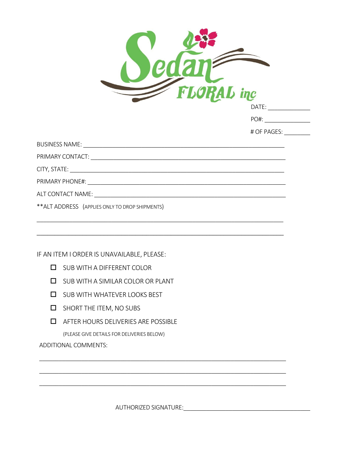|   | <b>FLORAL</b> inc                                                                                              |             |
|---|----------------------------------------------------------------------------------------------------------------|-------------|
|   |                                                                                                                | DATE:       |
|   |                                                                                                                |             |
|   |                                                                                                                | # OF PAGES: |
|   |                                                                                                                |             |
|   |                                                                                                                |             |
|   |                                                                                                                |             |
|   | PRIMARY PHONE#: WARD AND THE STATE OF THE STATE OF THE STATE OF THE STATE OF THE STATE OF THE STATE OF THE STA |             |
|   |                                                                                                                |             |
|   | ** ALT ADDRESS (APPLIES ONLY TO DROP SHIPMENTS)                                                                |             |
|   |                                                                                                                |             |
|   | IF AN ITEM I ORDER IS UNAVAILABLE, PLEASE:                                                                     |             |
|   | SUB WITH A DIFFERENT COLOR                                                                                     |             |
| П | SUB WITH A SIMILAR COLOR OR PLANT                                                                              |             |
| H | SUB WITH WHATEVER LOOKS BEST                                                                                   |             |
| □ | SHORT THE ITEM, NO SUBS                                                                                        |             |
| П | AFTER HOURS DELIVERIES ARE POSSIBLE                                                                            |             |
|   |                                                                                                                |             |

(PLEASE GIVE DETAILS FOR DELIVERIES BELOW)

ADDITIONAL COMMENTS:

AUTHORIZED SIGNATURE:\_\_\_\_\_\_\_\_\_\_\_\_\_\_\_\_\_\_\_\_\_\_\_\_\_\_\_\_\_\_\_\_\_\_\_\_\_\_\_

\_\_\_\_\_\_\_\_\_\_\_\_\_\_\_\_\_\_\_\_\_\_\_\_\_\_\_\_\_\_\_\_\_\_\_\_\_\_\_\_\_\_\_\_\_\_\_\_\_\_\_\_\_\_\_\_\_\_\_\_\_\_\_\_\_\_\_\_\_\_\_\_\_\_\_\_

\_\_\_\_\_\_\_\_\_\_\_\_\_\_\_\_\_\_\_\_\_\_\_\_\_\_\_\_\_\_\_\_\_\_\_\_\_\_\_\_\_\_\_\_\_\_\_\_\_\_\_\_\_\_\_\_\_\_\_\_\_\_\_\_\_\_\_\_\_\_\_\_\_\_\_\_

\_\_\_\_\_\_\_\_\_\_\_\_\_\_\_\_\_\_\_\_\_\_\_\_\_\_\_\_\_\_\_\_\_\_\_\_\_\_\_\_\_\_\_\_\_\_\_\_\_\_\_\_\_\_\_\_\_\_\_\_\_\_\_\_\_\_\_\_\_\_\_\_\_\_\_\_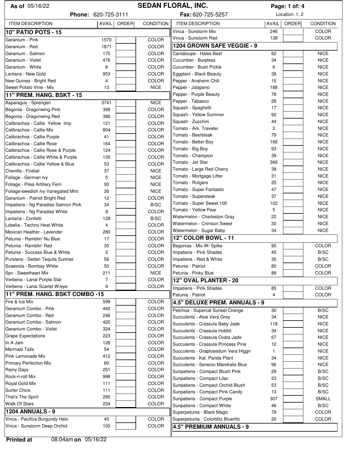| As of 05/16/22                                                            |                       |       |                             | <b>SEDAN FLORAL, INC.</b><br>Page: 1 of: 4         |                |                |                            |
|---------------------------------------------------------------------------|-----------------------|-------|-----------------------------|----------------------------------------------------|----------------|----------------|----------------------------|
|                                                                           | Phone: 620-725-3111   |       |                             | Fax: 620-725-5257                                  |                | Location: 1, 2 |                            |
| <b>ITEM DESCRIPTION</b>                                                   | AVAIL                 | ORDER | CONDITION                   | <b>ITEM DESCRIPTION</b>                            | <b>AVAIL</b>   | ORDER          | <b>CONDITION</b>           |
| 10" PATIO POTS - 15                                                       |                       |       |                             | Vinca - Sunstorm Mix                               | 246            |                | COLOR                      |
| Geranium - Pink                                                           | 1570                  |       | COLOR                       | Vinca - Sunstorm Red                               | 138            |                | COLOR                      |
| Geranium - Red                                                            | 1871                  |       | COLOR                       | 1204 GROWN SAFE VEGGIE - 9                         |                |                |                            |
| Geranium - Salmon                                                         | 175                   |       | COLOR                       | Cantaloupe - Hales Best                            | 62             |                | <b>NICE</b>                |
| Geranium - Violet                                                         | 476                   |       | COLOR                       | Cucumber - Burpless                                | 34             |                | <b>NICE</b>                |
| Geranium - White                                                          | 6                     |       | <b>COLOR</b>                | Cucumber - Bush Pickle                             | 6              |                | <b>NICE</b>                |
| Lantana - New Gold                                                        | 953                   |       | <b>COLOR</b>                | Eggplant - Black Beauty                            | 38             |                | <b>NICE</b>                |
| New Guinea - Bright Red                                                   | 4                     |       | <b>COLOR</b>                | Pepper - Anaheim Chili                             | 15             |                | <b>NICE</b>                |
| Sweet Potato Vine - Mix                                                   | 13                    |       | <b>NICE</b>                 | Pepper - Jalapeno                                  | 188            |                | <b>NICE</b>                |
| 11" PREM. HANG. BSKT - 15                                                 |                       |       |                             | Pepper - Purple Beauty                             | 78             |                | <b>NICE</b>                |
| Asparagus - Sprengeri                                                     | 3741                  |       | <b>NICE</b>                 | Pepper - Tabasco                                   | 28             |                | <b>NICE</b>                |
| Begonia - Dragonwing Pink                                                 | 368                   |       | <b>COLOR</b>                | Squash - Spaghetti                                 | 17             |                | <b>NICE</b>                |
| Begonia - Dragonwing Red                                                  | 386                   |       | COLOR                       | Squash - Yellow Summer                             | 92             |                | <b>NICE</b>                |
| Calibrachoa - Callie Yellow Imp                                           | 121                   |       | COLOR                       | Squash - Zucchini<br>Tomato - Ark. Traveler        | 44             |                | <b>NICE</b><br><b>NICE</b> |
| Calibrachoa - Callie Mix                                                  | 804                   |       | COLOR                       | Tomato - Beefsteak                                 | 2<br>79        |                | <b>NICE</b>                |
| Calibrachoa - Callie Purple                                               | 41                    |       | COLOR                       | Tomato - Better Boy                                | 166            |                | <b>NICE</b>                |
| Calibrachoa - Callie Rose                                                 | 164                   |       | COLOR                       | Tomato - Big Boy                                   | 93             |                | <b>NICE</b>                |
| Calibrachoa - Callie Rose & Purple                                        | 124                   |       | COLOR                       | Tomato - Champion                                  | 39             |                | <b>NICE</b>                |
| Calibrachoa - Callie White & Purple<br>Calibrachoa - Callie Yellow & Blue | 130<br>53             |       | COLOR<br><b>COLOR</b>       | Tomato - Jet Star                                  | 366            |                | <b>NICE</b>                |
| Chenille - Firetail                                                       | 37                    |       | <b>NICE</b>                 | Tomato - Large Red Cherry                          | 39             |                | <b>NICE</b>                |
| Foliage - German Ivy                                                      | 5                     |       | <b>NICE</b>                 | Tomato - Mortgage Lifter                           | 31             |                | <b>NICE</b>                |
| Foliage - Pilea Artillery Fern                                            | 93                    |       | <b>NICE</b>                 | Tomato - Rutgers                                   | 25             |                | <b>NICE</b>                |
| Foliage-swedish Ivy Variegated Mint                                       | 26                    |       | <b>NICE</b>                 | Tomato - Super Fantastic                           | 47             |                | <b>NICE</b>                |
| Geranium - Patriot Bright Red                                             | 12                    |       | <b>COLOR</b>                | Tomato - Supersteak                                | 37             |                | <b>NICE</b>                |
| Impatiens - Ng Paradise Salmon Pink                                       | 34                    |       | B/SC                        | Tomato - Super Sweet 100                           | 102            |                | <b>NICE</b>                |
| Impatiens - Ng Paradise White                                             | 9                     |       | <b>COLOR</b>                | Tomato - Yellow Pear                               | 5              |                | <b>NICE</b>                |
| Lantana - Confetti                                                        | 129                   |       | B/SC                        | Watermelon - Charleston Gray                       | 22             |                | <b>NICE</b>                |
| Lobelia - Techno Heat White                                               | 4                     |       | <b>COLOR</b>                | Watermelon - Crimson Sweet                         | 30             |                | <b>NICE</b>                |
| Mexican Heather - Lavender                                                | 280                   |       | COLOR                       | Watermelon - Sugar Baby                            | 34             |                | <b>NICE</b>                |
| Petunia - Ramblin' Nu Blue                                                | 17                    |       | COLOR                       | 12" COLOR BOWL - 11                                |                |                |                            |
| Petunia - Ramblin' Red                                                    | 30                    |       | COLOR                       | Begonias - Mix W/ Spike                            | 90             |                | COLOR                      |
| Petunia - Success Blue & White                                            | 2                     |       | COLOR                       | Impatiens - Pink Shades                            | 45             |                | B/SC                       |
| Purslane - Sedan Tequila Sunrise                                          | 56                    |       | COLOR                       | Impatiens - Red & White                            | 30             |                | B/SC                       |
| Scaevola - Bombay White<br>Spy - Sweetheart Mix                           | 50                    |       | <b>COLOR</b>                | Petunia - Patriot                                  | 80             |                | <b>COLOR</b>               |
| Verbena - Lanai Purple Star                                               | 211<br>$\overline{7}$ |       | <b>NICE</b><br><b>COLOR</b> | Petunia - Pinky Blue                               | 89             |                | COLOR                      |
| Verbena - Lanai Scarlet W/eye                                             | 9                     |       | COLOR                       | 12" OVAL PLANTER - 20                              |                |                |                            |
| 11" PREM. HANG. BSKT COMBO -15                                            |                       |       |                             | Impatiens - Pink Shades                            | 85             |                | COLOR                      |
| Fire & Ice Mix                                                            | 599                   |       | COLOR                       | Petunia - Patriot<br>4.5" DELUXE PREM. ANNUALS - 9 | $\overline{4}$ |                | COLOR                      |
| Geranium Combo - Pink                                                     | 442                   |       | COLOR                       | Petchoa - Supercal Sunset Orange                   | 30             |                | B/SC                       |
| Geranium Combo - Red                                                      | 246                   |       | COLOR                       | Succulents - Aloe Vera Grey                        | 34             |                | <b>NICE</b>                |
| Geranium Combo - Salmon                                                   | 420                   |       | <b>COLOR</b>                | Succulents - Crassula Baby Jade                    | 118            |                | <b>NICE</b>                |
| Geranium Combo - Violet                                                   | 324                   |       | COLOR                       | Succulents - Crassula Hobbit                       | 34             |                | <b>NICE</b>                |
| Grape Expectations                                                        | 223                   |       | COLOR                       | Succulents - Crassula Ovata Jade                   | 67             |                | <b>NICE</b>                |
| In A Jam                                                                  | 128                   |       | COLOR                       | Succulents - Crassula Princess Pine                | 12             |                | <b>NICE</b>                |
| <b>Mermaid Tails</b>                                                      | 54                    |       | <b>COLOR</b>                | Succulents - Graptosedum Vera Higgn                | 1              |                | <b>NICE</b>                |
| Pink Lemonade Mix                                                         | 412                   |       | <b>COLOR</b>                | Succulents - Kal. Panda Plant                      | 34             |                | <b>NICE</b>                |
| <b>Primary Perfection Mix</b>                                             | 60                    |       | COLOR                       | Succulents - Senecio Mandralis Blue                | 96             |                | <b>NICE</b>                |
| Rainy Days                                                                | 251                   |       | COLOR                       | Sunpatiens - Compact Blush Pink                    | 29             |                | B/SC                       |
| Rock-n-roll Mix                                                           | 998                   |       | COLOR                       | Sunpatiens - Compact Lilac                         | 23             |                | B/SC                       |
| Royal Gold Mix                                                            | 111                   |       | COLOR                       | Sunpatiens - Compact Orchid Blush                  | 53             |                | B/SC                       |
| Surfer Chick                                                              | 111                   |       | <b>COLOR</b>                | Sunpatiens - Compact Pink Candy                    | 13             |                | B/SC                       |
| That's The Spirit                                                         | 285                   |       | COLOR                       | Sunpatiens - Compact Purple                        | 307            |                | <b>SMALL</b>               |
| <b>Walk Of Stars</b>                                                      | 234                   |       | <b>COLOR</b>                | Sunpatiens - Compact White                         | 46             |                | B/SC                       |
| 1204 ANNUALS - 9                                                          |                       |       |                             | Superpetunia - Black Magic                         | 79             |                | <b>COLOR</b>               |
| Vinca - Pacifica Burgundy Halo                                            | 45                    |       | COLOR                       | Superpetunia - Colorblitz Bluerific                | 20             |                | COLOR                      |
| Vinca - Sunstorm Deep Orchid                                              | 100                   |       | COLOR                       | 4.5" PREMIUM ANNUALS - 9                           |                |                |                            |
|                                                                           |                       |       |                             |                                                    |                |                |                            |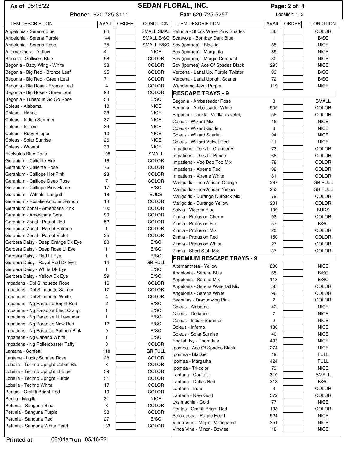| Phone: 620-725-3111<br>Fax: 620-725-5257<br>Location: 1, 2<br><b>ITEM DESCRIPTION</b><br>CONDITION<br>ORDER<br><b>ITEM DESCRIPTION</b><br><b>AVAIL</b><br>ORDER<br><b>CONDITION</b><br>AVAIL<br>64<br>SMALL, SMAL   Petunia - Shock Wave Pink Shades<br>36<br><b>COLOR</b><br>B/SC<br>144<br>SMALL, B/SC   Scaevola - Bombay Dark Blue<br>1<br>75<br>85<br><b>NICE</b><br>SMALL, B/SC   Spv (ipomea) - Blackie<br><b>NICE</b><br><b>NICE</b><br>41<br>Spv (ipomea) - Margarita<br>89<br>COLOR<br><b>NICE</b><br>58<br>Spv (ipomea) - Margie Compact<br>30<br>COLOR<br><b>NICE</b><br>Begonia - Baby Wing - White<br>38<br>Spv (ipomea) Ace Of Spades Black<br>295<br>95<br>COLOR<br>B/SC<br>Begonia - Big Red - Bronze Leaf<br>Verbena - Lanai Up. Purple Twister<br>93<br>COLOR<br>B/SC<br>Begonia - Big Red - Green Leaf<br>71<br>Verbena - Lanai Upright Scarlet<br>72<br><b>COLOR</b><br><b>NICE</b><br>Begonia - Big Rose - Bronze Leaf<br>Wandering Jew - Purple<br>119<br>4<br>COLOR<br>Begonia - Big Rose - Green Leaf<br>98<br><b>RESCAPE TRAYS - 9</b><br>B/SC<br>Begonia - Tuberous Go Go Rose<br>53<br><b>SMALL</b><br>Begonia - Ambassador Rose<br>3<br><b>NICE</b><br>Coleus - Alabama<br>10<br><b>COLOR</b><br>Begonia - Ambassador White<br>505<br><b>NICE</b><br>Coleus - Henna<br>38<br>COLOR<br>Begonia - Cocktail Vodka (scarlet)<br>58<br>37<br><b>NICE</b><br>Coleus - Indian Summer<br><b>NICE</b><br>Coleus - Wizard Mix<br>16<br><b>NICE</b><br>Coleus - Inferno<br>39<br>Coleus - Wizard Golden<br><b>NICE</b><br>6<br><b>NICE</b><br>Coleus - Ruby Slipper<br>10<br><b>NICE</b><br><b>Coleus - Wizard Scarlet</b><br>94<br><b>NICE</b><br>Coleus - Solar Sunrise<br>26<br><b>NICE</b><br>Coleus - Wizard Velvet Red<br>11<br><b>NICE</b><br>33<br>Coleus - Wasabi<br><b>COLOR</b><br>Impatiens - Dazzler Cranberry<br>73<br>SMALL<br>108<br><b>COLOR</b><br>Impatiens - Dazzler Punch<br>68<br>COLOR<br>Geranium - Caliente Fire<br>16<br>Impatiens - Voo Doo Too Mix<br><b>COLOR</b><br>78<br>76<br>COLOR<br>Geranium - Caliente Rose<br><b>COLOR</b><br>Impatiens - Xtreme Red<br>92<br>23<br><b>COLOR</b><br><b>COLOR</b><br>Impatiens - Xtreme White<br>81<br>$\overline{7}$<br><b>COLOR</b><br><b>GR FULL</b><br>Marigolds - Inca African Orange<br>267<br>B/SC<br>17<br><b>GR FULL</b><br>Marigolds - Inca African Yellow<br>253<br><b>BUDS</b><br>18<br><b>COLOR</b><br>Marigolds - Durango Outback Mix<br>79<br><b>COLOR</b><br>18<br>Marigolds - Durango Yellow<br><b>COLOR</b><br>201<br>COLOR<br>Geranium Zonal - Americana Pink<br>102<br><b>BUDS</b><br>Salvia - Victoria Blue<br>109<br><b>COLOR</b><br>Geranium - Americana Coral<br>90<br><b>COLOR</b><br>Zinnia - Profusion Cherry<br>93<br>52<br><b>COLOR</b><br>Geranium Zonal - Patriot Red<br>B/SC<br>Zinnia - Profusion Fire<br>57<br>COLOR<br>Geranium Zonal - Patriot Salmon<br>$\mathbf{1}$<br><b>COLOR</b><br>Zinnia - Profusion Mix<br>20<br>COLOR<br>Geranium Zonal - Patriot Violet<br>25<br><b>COLOR</b><br>Zinnia - Profusion Red<br>150<br>B/SC<br>Gerbera Daisy - Deep Orange Dk Eye<br>20<br>27<br>COLOR<br>Zinnia - Profusion White<br>B/SC<br>Gerbera Daisy - Deep Rose Lt Eye<br>111<br>37<br><b>COLOR</b><br>Zinnia - Short Stuff Mix<br>B/SC<br>Gerbera Daisy - Red Lt Eye<br>$\mathbf{1}$<br><b>PREMIUM RESCAPE TRAYS - 9</b><br><b>GR FULL</b><br>Gerbera Daisy - Royal Red Dk Eye<br>14<br>Alternanthera - Yellow<br><b>NICE</b><br>200<br>B/SC<br>Gerbera Daisy - White Dk Eye<br>1<br>65<br>B/SC<br>Angelonia - Serena Blue<br>B/SC<br>Gerbera Daisy - Yellow Dk Eye<br>59<br>B/SC<br>Angelonia - Serena Mix<br>118<br>COLOR<br>Impatiens - Dbl Silhouette Rose<br>16<br>56<br><b>COLOR</b><br>Angelonia - Serena Waterfall Mix<br>17<br>COLOR<br>Impatiens - Dbl Silhouette Salmon<br>96<br><b>COLOR</b><br>Angelonia - Serena White<br>COLOR<br>Impatiens - Dbl Silhouette White<br>4<br>2<br>Begonias - Dragonwing Pink<br>COLOR<br>B/SC<br>Impatiens - Ng Paradise Bright Red<br>2<br>42<br><b>NICE</b><br>Coleus - Alabama<br>B/SC<br>Impatiens - Ng Paradise Elect Orang<br>$\overline{7}$<br><b>NICE</b><br>Coleus - Defiance<br>B/SC<br>Impatiens - Ng Paradise Lt Lavander<br>$\mathbf{2}$<br><b>NICE</b><br>Coleus - Indian Summer<br>B/SC<br>Impatiens - Ng Paradise New Red<br>12<br><b>NICE</b><br>Coleus - Inferno<br>130<br>B/SC<br>9<br>40<br><b>NICE</b><br>Coleus - Solar Sunrise<br>B/SC<br><b>NICE</b><br>English Ivy - Thorndale<br>493<br><b>COLOR</b><br>8<br>274<br><b>NICE</b><br>Ipomea - Ace Of Spades Black<br>GR FULL<br>110<br><b>FULL</b><br>Ipomea - Blackie<br>19<br>COLOR<br>28<br><b>FULL</b><br>424<br>Ipomea - Margarita<br>COLOR<br>3<br>79<br><b>NICE</b><br>Ipomea - Tri-color<br>59<br>COLOR<br>310<br>Lantana - Confetti<br>SMALL<br>51<br><b>COLOR</b><br>313<br>B/SC<br>Lantana - Dallas Red<br>17<br>COLOR<br>3<br><b>COLOR</b><br>Lantana - Irene<br>10<br><b>COLOR</b><br>572<br>Lantana - New Gold<br>COLOR<br><b>NICE</b><br>Perilla - Magilla<br>31<br><b>NICE</b><br>77<br>Lysimachia - Gold<br>COLOR<br>8<br><b>COLOR</b><br>Pentas - Graffiti Bright Red<br>133<br>COLOR<br>Petunia - Sanguna Purple<br>38<br>524<br><b>NICE</b><br>Setcreasea - Purple Heart<br>Petunia - Sanguna Red<br>27<br>B/SC<br>351<br><b>NICE</b><br>Vinca Vine - Major - Variegated<br>COLOR<br>Petunia - Sanguna White Pearl<br>133<br><b>NICE</b><br>Vinca Vine - Minor - Bowles<br>18 | <b>As of 05/16/22</b>               | <b>SEDAN FLORAL, INC.</b> |  | Page: 2 of: 4 |  |  |  |
|------------------------------------------------------------------------------------------------------------------------------------------------------------------------------------------------------------------------------------------------------------------------------------------------------------------------------------------------------------------------------------------------------------------------------------------------------------------------------------------------------------------------------------------------------------------------------------------------------------------------------------------------------------------------------------------------------------------------------------------------------------------------------------------------------------------------------------------------------------------------------------------------------------------------------------------------------------------------------------------------------------------------------------------------------------------------------------------------------------------------------------------------------------------------------------------------------------------------------------------------------------------------------------------------------------------------------------------------------------------------------------------------------------------------------------------------------------------------------------------------------------------------------------------------------------------------------------------------------------------------------------------------------------------------------------------------------------------------------------------------------------------------------------------------------------------------------------------------------------------------------------------------------------------------------------------------------------------------------------------------------------------------------------------------------------------------------------------------------------------------------------------------------------------------------------------------------------------------------------------------------------------------------------------------------------------------------------------------------------------------------------------------------------------------------------------------------------------------------------------------------------------------------------------------------------------------------------------------------------------------------------------------------------------------------------------------------------------------------------------------------------------------------------------------------------------------------------------------------------------------------------------------------------------------------------------------------------------------------------------------------------------------------------------------------------------------------------------------------------------------------------------------------------------------------------------------------------------------------------------------------------------------------------------------------------------------------------------------------------------------------------------------------------------------------------------------------------------------------------------------------------------------------------------------------------------------------------------------------------------------------------------------------------------------------------------------------------------------------------------------------------------------------------------------------------------------------------------------------------------------------------------------------------------------------------------------------------------------------------------------------------------------------------------------------------------------------------------------------------------------------------------------------------------------------------------------------------------------------------------------------------------------------------------------------------------------------------------------------------------------------------------------------------------------------------------------------------------------------------------------------------------------------------------------------------------------------------------------------------------------------------------------------------------------------------------------------------------------------------------------------------------------------------------------------------------------------------------------------------------------------------------------------------------------------------------------------------------------------------------------------------------------------------------------------------------------------------------------------------------------------------------------------------------------------------------------------------------------------------------------------------------------------------------------------------------------------------------------------------------------------------------------------------------------------------------------|-------------------------------------|---------------------------|--|---------------|--|--|--|
|                                                                                                                                                                                                                                                                                                                                                                                                                                                                                                                                                                                                                                                                                                                                                                                                                                                                                                                                                                                                                                                                                                                                                                                                                                                                                                                                                                                                                                                                                                                                                                                                                                                                                                                                                                                                                                                                                                                                                                                                                                                                                                                                                                                                                                                                                                                                                                                                                                                                                                                                                                                                                                                                                                                                                                                                                                                                                                                                                                                                                                                                                                                                                                                                                                                                                                                                                                                                                                                                                                                                                                                                                                                                                                                                                                                                                                                                                                                                                                                                                                                                                                                                                                                                                                                                                                                                                                                                                                                                                                                                                                                                                                                                                                                                                                                                                                                                                                                                                                                                                                                                                                                                                                                                                                                                                                                                                                                                                                                |                                     |                           |  |               |  |  |  |
|                                                                                                                                                                                                                                                                                                                                                                                                                                                                                                                                                                                                                                                                                                                                                                                                                                                                                                                                                                                                                                                                                                                                                                                                                                                                                                                                                                                                                                                                                                                                                                                                                                                                                                                                                                                                                                                                                                                                                                                                                                                                                                                                                                                                                                                                                                                                                                                                                                                                                                                                                                                                                                                                                                                                                                                                                                                                                                                                                                                                                                                                                                                                                                                                                                                                                                                                                                                                                                                                                                                                                                                                                                                                                                                                                                                                                                                                                                                                                                                                                                                                                                                                                                                                                                                                                                                                                                                                                                                                                                                                                                                                                                                                                                                                                                                                                                                                                                                                                                                                                                                                                                                                                                                                                                                                                                                                                                                                                                                |                                     |                           |  |               |  |  |  |
|                                                                                                                                                                                                                                                                                                                                                                                                                                                                                                                                                                                                                                                                                                                                                                                                                                                                                                                                                                                                                                                                                                                                                                                                                                                                                                                                                                                                                                                                                                                                                                                                                                                                                                                                                                                                                                                                                                                                                                                                                                                                                                                                                                                                                                                                                                                                                                                                                                                                                                                                                                                                                                                                                                                                                                                                                                                                                                                                                                                                                                                                                                                                                                                                                                                                                                                                                                                                                                                                                                                                                                                                                                                                                                                                                                                                                                                                                                                                                                                                                                                                                                                                                                                                                                                                                                                                                                                                                                                                                                                                                                                                                                                                                                                                                                                                                                                                                                                                                                                                                                                                                                                                                                                                                                                                                                                                                                                                                                                | Angelonia - Serena Blue             |                           |  |               |  |  |  |
|                                                                                                                                                                                                                                                                                                                                                                                                                                                                                                                                                                                                                                                                                                                                                                                                                                                                                                                                                                                                                                                                                                                                                                                                                                                                                                                                                                                                                                                                                                                                                                                                                                                                                                                                                                                                                                                                                                                                                                                                                                                                                                                                                                                                                                                                                                                                                                                                                                                                                                                                                                                                                                                                                                                                                                                                                                                                                                                                                                                                                                                                                                                                                                                                                                                                                                                                                                                                                                                                                                                                                                                                                                                                                                                                                                                                                                                                                                                                                                                                                                                                                                                                                                                                                                                                                                                                                                                                                                                                                                                                                                                                                                                                                                                                                                                                                                                                                                                                                                                                                                                                                                                                                                                                                                                                                                                                                                                                                                                | Angelonia - Serena Purple           |                           |  |               |  |  |  |
|                                                                                                                                                                                                                                                                                                                                                                                                                                                                                                                                                                                                                                                                                                                                                                                                                                                                                                                                                                                                                                                                                                                                                                                                                                                                                                                                                                                                                                                                                                                                                                                                                                                                                                                                                                                                                                                                                                                                                                                                                                                                                                                                                                                                                                                                                                                                                                                                                                                                                                                                                                                                                                                                                                                                                                                                                                                                                                                                                                                                                                                                                                                                                                                                                                                                                                                                                                                                                                                                                                                                                                                                                                                                                                                                                                                                                                                                                                                                                                                                                                                                                                                                                                                                                                                                                                                                                                                                                                                                                                                                                                                                                                                                                                                                                                                                                                                                                                                                                                                                                                                                                                                                                                                                                                                                                                                                                                                                                                                | Angelonia - Serena Rose             |                           |  |               |  |  |  |
|                                                                                                                                                                                                                                                                                                                                                                                                                                                                                                                                                                                                                                                                                                                                                                                                                                                                                                                                                                                                                                                                                                                                                                                                                                                                                                                                                                                                                                                                                                                                                                                                                                                                                                                                                                                                                                                                                                                                                                                                                                                                                                                                                                                                                                                                                                                                                                                                                                                                                                                                                                                                                                                                                                                                                                                                                                                                                                                                                                                                                                                                                                                                                                                                                                                                                                                                                                                                                                                                                                                                                                                                                                                                                                                                                                                                                                                                                                                                                                                                                                                                                                                                                                                                                                                                                                                                                                                                                                                                                                                                                                                                                                                                                                                                                                                                                                                                                                                                                                                                                                                                                                                                                                                                                                                                                                                                                                                                                                                | Alternanthera - Yellow              |                           |  |               |  |  |  |
|                                                                                                                                                                                                                                                                                                                                                                                                                                                                                                                                                                                                                                                                                                                                                                                                                                                                                                                                                                                                                                                                                                                                                                                                                                                                                                                                                                                                                                                                                                                                                                                                                                                                                                                                                                                                                                                                                                                                                                                                                                                                                                                                                                                                                                                                                                                                                                                                                                                                                                                                                                                                                                                                                                                                                                                                                                                                                                                                                                                                                                                                                                                                                                                                                                                                                                                                                                                                                                                                                                                                                                                                                                                                                                                                                                                                                                                                                                                                                                                                                                                                                                                                                                                                                                                                                                                                                                                                                                                                                                                                                                                                                                                                                                                                                                                                                                                                                                                                                                                                                                                                                                                                                                                                                                                                                                                                                                                                                                                | Bacopa - Gullivers Blue             |                           |  |               |  |  |  |
|                                                                                                                                                                                                                                                                                                                                                                                                                                                                                                                                                                                                                                                                                                                                                                                                                                                                                                                                                                                                                                                                                                                                                                                                                                                                                                                                                                                                                                                                                                                                                                                                                                                                                                                                                                                                                                                                                                                                                                                                                                                                                                                                                                                                                                                                                                                                                                                                                                                                                                                                                                                                                                                                                                                                                                                                                                                                                                                                                                                                                                                                                                                                                                                                                                                                                                                                                                                                                                                                                                                                                                                                                                                                                                                                                                                                                                                                                                                                                                                                                                                                                                                                                                                                                                                                                                                                                                                                                                                                                                                                                                                                                                                                                                                                                                                                                                                                                                                                                                                                                                                                                                                                                                                                                                                                                                                                                                                                                                                |                                     |                           |  |               |  |  |  |
|                                                                                                                                                                                                                                                                                                                                                                                                                                                                                                                                                                                                                                                                                                                                                                                                                                                                                                                                                                                                                                                                                                                                                                                                                                                                                                                                                                                                                                                                                                                                                                                                                                                                                                                                                                                                                                                                                                                                                                                                                                                                                                                                                                                                                                                                                                                                                                                                                                                                                                                                                                                                                                                                                                                                                                                                                                                                                                                                                                                                                                                                                                                                                                                                                                                                                                                                                                                                                                                                                                                                                                                                                                                                                                                                                                                                                                                                                                                                                                                                                                                                                                                                                                                                                                                                                                                                                                                                                                                                                                                                                                                                                                                                                                                                                                                                                                                                                                                                                                                                                                                                                                                                                                                                                                                                                                                                                                                                                                                |                                     |                           |  |               |  |  |  |
|                                                                                                                                                                                                                                                                                                                                                                                                                                                                                                                                                                                                                                                                                                                                                                                                                                                                                                                                                                                                                                                                                                                                                                                                                                                                                                                                                                                                                                                                                                                                                                                                                                                                                                                                                                                                                                                                                                                                                                                                                                                                                                                                                                                                                                                                                                                                                                                                                                                                                                                                                                                                                                                                                                                                                                                                                                                                                                                                                                                                                                                                                                                                                                                                                                                                                                                                                                                                                                                                                                                                                                                                                                                                                                                                                                                                                                                                                                                                                                                                                                                                                                                                                                                                                                                                                                                                                                                                                                                                                                                                                                                                                                                                                                                                                                                                                                                                                                                                                                                                                                                                                                                                                                                                                                                                                                                                                                                                                                                |                                     |                           |  |               |  |  |  |
|                                                                                                                                                                                                                                                                                                                                                                                                                                                                                                                                                                                                                                                                                                                                                                                                                                                                                                                                                                                                                                                                                                                                                                                                                                                                                                                                                                                                                                                                                                                                                                                                                                                                                                                                                                                                                                                                                                                                                                                                                                                                                                                                                                                                                                                                                                                                                                                                                                                                                                                                                                                                                                                                                                                                                                                                                                                                                                                                                                                                                                                                                                                                                                                                                                                                                                                                                                                                                                                                                                                                                                                                                                                                                                                                                                                                                                                                                                                                                                                                                                                                                                                                                                                                                                                                                                                                                                                                                                                                                                                                                                                                                                                                                                                                                                                                                                                                                                                                                                                                                                                                                                                                                                                                                                                                                                                                                                                                                                                |                                     |                           |  |               |  |  |  |
|                                                                                                                                                                                                                                                                                                                                                                                                                                                                                                                                                                                                                                                                                                                                                                                                                                                                                                                                                                                                                                                                                                                                                                                                                                                                                                                                                                                                                                                                                                                                                                                                                                                                                                                                                                                                                                                                                                                                                                                                                                                                                                                                                                                                                                                                                                                                                                                                                                                                                                                                                                                                                                                                                                                                                                                                                                                                                                                                                                                                                                                                                                                                                                                                                                                                                                                                                                                                                                                                                                                                                                                                                                                                                                                                                                                                                                                                                                                                                                                                                                                                                                                                                                                                                                                                                                                                                                                                                                                                                                                                                                                                                                                                                                                                                                                                                                                                                                                                                                                                                                                                                                                                                                                                                                                                                                                                                                                                                                                |                                     |                           |  |               |  |  |  |
|                                                                                                                                                                                                                                                                                                                                                                                                                                                                                                                                                                                                                                                                                                                                                                                                                                                                                                                                                                                                                                                                                                                                                                                                                                                                                                                                                                                                                                                                                                                                                                                                                                                                                                                                                                                                                                                                                                                                                                                                                                                                                                                                                                                                                                                                                                                                                                                                                                                                                                                                                                                                                                                                                                                                                                                                                                                                                                                                                                                                                                                                                                                                                                                                                                                                                                                                                                                                                                                                                                                                                                                                                                                                                                                                                                                                                                                                                                                                                                                                                                                                                                                                                                                                                                                                                                                                                                                                                                                                                                                                                                                                                                                                                                                                                                                                                                                                                                                                                                                                                                                                                                                                                                                                                                                                                                                                                                                                                                                |                                     |                           |  |               |  |  |  |
|                                                                                                                                                                                                                                                                                                                                                                                                                                                                                                                                                                                                                                                                                                                                                                                                                                                                                                                                                                                                                                                                                                                                                                                                                                                                                                                                                                                                                                                                                                                                                                                                                                                                                                                                                                                                                                                                                                                                                                                                                                                                                                                                                                                                                                                                                                                                                                                                                                                                                                                                                                                                                                                                                                                                                                                                                                                                                                                                                                                                                                                                                                                                                                                                                                                                                                                                                                                                                                                                                                                                                                                                                                                                                                                                                                                                                                                                                                                                                                                                                                                                                                                                                                                                                                                                                                                                                                                                                                                                                                                                                                                                                                                                                                                                                                                                                                                                                                                                                                                                                                                                                                                                                                                                                                                                                                                                                                                                                                                |                                     |                           |  |               |  |  |  |
|                                                                                                                                                                                                                                                                                                                                                                                                                                                                                                                                                                                                                                                                                                                                                                                                                                                                                                                                                                                                                                                                                                                                                                                                                                                                                                                                                                                                                                                                                                                                                                                                                                                                                                                                                                                                                                                                                                                                                                                                                                                                                                                                                                                                                                                                                                                                                                                                                                                                                                                                                                                                                                                                                                                                                                                                                                                                                                                                                                                                                                                                                                                                                                                                                                                                                                                                                                                                                                                                                                                                                                                                                                                                                                                                                                                                                                                                                                                                                                                                                                                                                                                                                                                                                                                                                                                                                                                                                                                                                                                                                                                                                                                                                                                                                                                                                                                                                                                                                                                                                                                                                                                                                                                                                                                                                                                                                                                                                                                |                                     |                           |  |               |  |  |  |
|                                                                                                                                                                                                                                                                                                                                                                                                                                                                                                                                                                                                                                                                                                                                                                                                                                                                                                                                                                                                                                                                                                                                                                                                                                                                                                                                                                                                                                                                                                                                                                                                                                                                                                                                                                                                                                                                                                                                                                                                                                                                                                                                                                                                                                                                                                                                                                                                                                                                                                                                                                                                                                                                                                                                                                                                                                                                                                                                                                                                                                                                                                                                                                                                                                                                                                                                                                                                                                                                                                                                                                                                                                                                                                                                                                                                                                                                                                                                                                                                                                                                                                                                                                                                                                                                                                                                                                                                                                                                                                                                                                                                                                                                                                                                                                                                                                                                                                                                                                                                                                                                                                                                                                                                                                                                                                                                                                                                                                                |                                     |                           |  |               |  |  |  |
|                                                                                                                                                                                                                                                                                                                                                                                                                                                                                                                                                                                                                                                                                                                                                                                                                                                                                                                                                                                                                                                                                                                                                                                                                                                                                                                                                                                                                                                                                                                                                                                                                                                                                                                                                                                                                                                                                                                                                                                                                                                                                                                                                                                                                                                                                                                                                                                                                                                                                                                                                                                                                                                                                                                                                                                                                                                                                                                                                                                                                                                                                                                                                                                                                                                                                                                                                                                                                                                                                                                                                                                                                                                                                                                                                                                                                                                                                                                                                                                                                                                                                                                                                                                                                                                                                                                                                                                                                                                                                                                                                                                                                                                                                                                                                                                                                                                                                                                                                                                                                                                                                                                                                                                                                                                                                                                                                                                                                                                |                                     |                           |  |               |  |  |  |
|                                                                                                                                                                                                                                                                                                                                                                                                                                                                                                                                                                                                                                                                                                                                                                                                                                                                                                                                                                                                                                                                                                                                                                                                                                                                                                                                                                                                                                                                                                                                                                                                                                                                                                                                                                                                                                                                                                                                                                                                                                                                                                                                                                                                                                                                                                                                                                                                                                                                                                                                                                                                                                                                                                                                                                                                                                                                                                                                                                                                                                                                                                                                                                                                                                                                                                                                                                                                                                                                                                                                                                                                                                                                                                                                                                                                                                                                                                                                                                                                                                                                                                                                                                                                                                                                                                                                                                                                                                                                                                                                                                                                                                                                                                                                                                                                                                                                                                                                                                                                                                                                                                                                                                                                                                                                                                                                                                                                                                                |                                     |                           |  |               |  |  |  |
|                                                                                                                                                                                                                                                                                                                                                                                                                                                                                                                                                                                                                                                                                                                                                                                                                                                                                                                                                                                                                                                                                                                                                                                                                                                                                                                                                                                                                                                                                                                                                                                                                                                                                                                                                                                                                                                                                                                                                                                                                                                                                                                                                                                                                                                                                                                                                                                                                                                                                                                                                                                                                                                                                                                                                                                                                                                                                                                                                                                                                                                                                                                                                                                                                                                                                                                                                                                                                                                                                                                                                                                                                                                                                                                                                                                                                                                                                                                                                                                                                                                                                                                                                                                                                                                                                                                                                                                                                                                                                                                                                                                                                                                                                                                                                                                                                                                                                                                                                                                                                                                                                                                                                                                                                                                                                                                                                                                                                                                |                                     |                           |  |               |  |  |  |
|                                                                                                                                                                                                                                                                                                                                                                                                                                                                                                                                                                                                                                                                                                                                                                                                                                                                                                                                                                                                                                                                                                                                                                                                                                                                                                                                                                                                                                                                                                                                                                                                                                                                                                                                                                                                                                                                                                                                                                                                                                                                                                                                                                                                                                                                                                                                                                                                                                                                                                                                                                                                                                                                                                                                                                                                                                                                                                                                                                                                                                                                                                                                                                                                                                                                                                                                                                                                                                                                                                                                                                                                                                                                                                                                                                                                                                                                                                                                                                                                                                                                                                                                                                                                                                                                                                                                                                                                                                                                                                                                                                                                                                                                                                                                                                                                                                                                                                                                                                                                                                                                                                                                                                                                                                                                                                                                                                                                                                                | Evolvulus Blue Daze                 |                           |  |               |  |  |  |
|                                                                                                                                                                                                                                                                                                                                                                                                                                                                                                                                                                                                                                                                                                                                                                                                                                                                                                                                                                                                                                                                                                                                                                                                                                                                                                                                                                                                                                                                                                                                                                                                                                                                                                                                                                                                                                                                                                                                                                                                                                                                                                                                                                                                                                                                                                                                                                                                                                                                                                                                                                                                                                                                                                                                                                                                                                                                                                                                                                                                                                                                                                                                                                                                                                                                                                                                                                                                                                                                                                                                                                                                                                                                                                                                                                                                                                                                                                                                                                                                                                                                                                                                                                                                                                                                                                                                                                                                                                                                                                                                                                                                                                                                                                                                                                                                                                                                                                                                                                                                                                                                                                                                                                                                                                                                                                                                                                                                                                                |                                     |                           |  |               |  |  |  |
|                                                                                                                                                                                                                                                                                                                                                                                                                                                                                                                                                                                                                                                                                                                                                                                                                                                                                                                                                                                                                                                                                                                                                                                                                                                                                                                                                                                                                                                                                                                                                                                                                                                                                                                                                                                                                                                                                                                                                                                                                                                                                                                                                                                                                                                                                                                                                                                                                                                                                                                                                                                                                                                                                                                                                                                                                                                                                                                                                                                                                                                                                                                                                                                                                                                                                                                                                                                                                                                                                                                                                                                                                                                                                                                                                                                                                                                                                                                                                                                                                                                                                                                                                                                                                                                                                                                                                                                                                                                                                                                                                                                                                                                                                                                                                                                                                                                                                                                                                                                                                                                                                                                                                                                                                                                                                                                                                                                                                                                |                                     |                           |  |               |  |  |  |
|                                                                                                                                                                                                                                                                                                                                                                                                                                                                                                                                                                                                                                                                                                                                                                                                                                                                                                                                                                                                                                                                                                                                                                                                                                                                                                                                                                                                                                                                                                                                                                                                                                                                                                                                                                                                                                                                                                                                                                                                                                                                                                                                                                                                                                                                                                                                                                                                                                                                                                                                                                                                                                                                                                                                                                                                                                                                                                                                                                                                                                                                                                                                                                                                                                                                                                                                                                                                                                                                                                                                                                                                                                                                                                                                                                                                                                                                                                                                                                                                                                                                                                                                                                                                                                                                                                                                                                                                                                                                                                                                                                                                                                                                                                                                                                                                                                                                                                                                                                                                                                                                                                                                                                                                                                                                                                                                                                                                                                                | Geranium - Calliope Hot Pink        |                           |  |               |  |  |  |
|                                                                                                                                                                                                                                                                                                                                                                                                                                                                                                                                                                                                                                                                                                                                                                                                                                                                                                                                                                                                                                                                                                                                                                                                                                                                                                                                                                                                                                                                                                                                                                                                                                                                                                                                                                                                                                                                                                                                                                                                                                                                                                                                                                                                                                                                                                                                                                                                                                                                                                                                                                                                                                                                                                                                                                                                                                                                                                                                                                                                                                                                                                                                                                                                                                                                                                                                                                                                                                                                                                                                                                                                                                                                                                                                                                                                                                                                                                                                                                                                                                                                                                                                                                                                                                                                                                                                                                                                                                                                                                                                                                                                                                                                                                                                                                                                                                                                                                                                                                                                                                                                                                                                                                                                                                                                                                                                                                                                                                                | Geranium - Calliope Deep Rose       |                           |  |               |  |  |  |
|                                                                                                                                                                                                                                                                                                                                                                                                                                                                                                                                                                                                                                                                                                                                                                                                                                                                                                                                                                                                                                                                                                                                                                                                                                                                                                                                                                                                                                                                                                                                                                                                                                                                                                                                                                                                                                                                                                                                                                                                                                                                                                                                                                                                                                                                                                                                                                                                                                                                                                                                                                                                                                                                                                                                                                                                                                                                                                                                                                                                                                                                                                                                                                                                                                                                                                                                                                                                                                                                                                                                                                                                                                                                                                                                                                                                                                                                                                                                                                                                                                                                                                                                                                                                                                                                                                                                                                                                                                                                                                                                                                                                                                                                                                                                                                                                                                                                                                                                                                                                                                                                                                                                                                                                                                                                                                                                                                                                                                                | Geranium - Calliope Pink Flame      |                           |  |               |  |  |  |
|                                                                                                                                                                                                                                                                                                                                                                                                                                                                                                                                                                                                                                                                                                                                                                                                                                                                                                                                                                                                                                                                                                                                                                                                                                                                                                                                                                                                                                                                                                                                                                                                                                                                                                                                                                                                                                                                                                                                                                                                                                                                                                                                                                                                                                                                                                                                                                                                                                                                                                                                                                                                                                                                                                                                                                                                                                                                                                                                                                                                                                                                                                                                                                                                                                                                                                                                                                                                                                                                                                                                                                                                                                                                                                                                                                                                                                                                                                                                                                                                                                                                                                                                                                                                                                                                                                                                                                                                                                                                                                                                                                                                                                                                                                                                                                                                                                                                                                                                                                                                                                                                                                                                                                                                                                                                                                                                                                                                                                                | Geranium - Wilhelm Languth          |                           |  |               |  |  |  |
|                                                                                                                                                                                                                                                                                                                                                                                                                                                                                                                                                                                                                                                                                                                                                                                                                                                                                                                                                                                                                                                                                                                                                                                                                                                                                                                                                                                                                                                                                                                                                                                                                                                                                                                                                                                                                                                                                                                                                                                                                                                                                                                                                                                                                                                                                                                                                                                                                                                                                                                                                                                                                                                                                                                                                                                                                                                                                                                                                                                                                                                                                                                                                                                                                                                                                                                                                                                                                                                                                                                                                                                                                                                                                                                                                                                                                                                                                                                                                                                                                                                                                                                                                                                                                                                                                                                                                                                                                                                                                                                                                                                                                                                                                                                                                                                                                                                                                                                                                                                                                                                                                                                                                                                                                                                                                                                                                                                                                                                | Geranium - Rosalie Antique Salmon   |                           |  |               |  |  |  |
|                                                                                                                                                                                                                                                                                                                                                                                                                                                                                                                                                                                                                                                                                                                                                                                                                                                                                                                                                                                                                                                                                                                                                                                                                                                                                                                                                                                                                                                                                                                                                                                                                                                                                                                                                                                                                                                                                                                                                                                                                                                                                                                                                                                                                                                                                                                                                                                                                                                                                                                                                                                                                                                                                                                                                                                                                                                                                                                                                                                                                                                                                                                                                                                                                                                                                                                                                                                                                                                                                                                                                                                                                                                                                                                                                                                                                                                                                                                                                                                                                                                                                                                                                                                                                                                                                                                                                                                                                                                                                                                                                                                                                                                                                                                                                                                                                                                                                                                                                                                                                                                                                                                                                                                                                                                                                                                                                                                                                                                |                                     |                           |  |               |  |  |  |
|                                                                                                                                                                                                                                                                                                                                                                                                                                                                                                                                                                                                                                                                                                                                                                                                                                                                                                                                                                                                                                                                                                                                                                                                                                                                                                                                                                                                                                                                                                                                                                                                                                                                                                                                                                                                                                                                                                                                                                                                                                                                                                                                                                                                                                                                                                                                                                                                                                                                                                                                                                                                                                                                                                                                                                                                                                                                                                                                                                                                                                                                                                                                                                                                                                                                                                                                                                                                                                                                                                                                                                                                                                                                                                                                                                                                                                                                                                                                                                                                                                                                                                                                                                                                                                                                                                                                                                                                                                                                                                                                                                                                                                                                                                                                                                                                                                                                                                                                                                                                                                                                                                                                                                                                                                                                                                                                                                                                                                                |                                     |                           |  |               |  |  |  |
|                                                                                                                                                                                                                                                                                                                                                                                                                                                                                                                                                                                                                                                                                                                                                                                                                                                                                                                                                                                                                                                                                                                                                                                                                                                                                                                                                                                                                                                                                                                                                                                                                                                                                                                                                                                                                                                                                                                                                                                                                                                                                                                                                                                                                                                                                                                                                                                                                                                                                                                                                                                                                                                                                                                                                                                                                                                                                                                                                                                                                                                                                                                                                                                                                                                                                                                                                                                                                                                                                                                                                                                                                                                                                                                                                                                                                                                                                                                                                                                                                                                                                                                                                                                                                                                                                                                                                                                                                                                                                                                                                                                                                                                                                                                                                                                                                                                                                                                                                                                                                                                                                                                                                                                                                                                                                                                                                                                                                                                |                                     |                           |  |               |  |  |  |
|                                                                                                                                                                                                                                                                                                                                                                                                                                                                                                                                                                                                                                                                                                                                                                                                                                                                                                                                                                                                                                                                                                                                                                                                                                                                                                                                                                                                                                                                                                                                                                                                                                                                                                                                                                                                                                                                                                                                                                                                                                                                                                                                                                                                                                                                                                                                                                                                                                                                                                                                                                                                                                                                                                                                                                                                                                                                                                                                                                                                                                                                                                                                                                                                                                                                                                                                                                                                                                                                                                                                                                                                                                                                                                                                                                                                                                                                                                                                                                                                                                                                                                                                                                                                                                                                                                                                                                                                                                                                                                                                                                                                                                                                                                                                                                                                                                                                                                                                                                                                                                                                                                                                                                                                                                                                                                                                                                                                                                                |                                     |                           |  |               |  |  |  |
|                                                                                                                                                                                                                                                                                                                                                                                                                                                                                                                                                                                                                                                                                                                                                                                                                                                                                                                                                                                                                                                                                                                                                                                                                                                                                                                                                                                                                                                                                                                                                                                                                                                                                                                                                                                                                                                                                                                                                                                                                                                                                                                                                                                                                                                                                                                                                                                                                                                                                                                                                                                                                                                                                                                                                                                                                                                                                                                                                                                                                                                                                                                                                                                                                                                                                                                                                                                                                                                                                                                                                                                                                                                                                                                                                                                                                                                                                                                                                                                                                                                                                                                                                                                                                                                                                                                                                                                                                                                                                                                                                                                                                                                                                                                                                                                                                                                                                                                                                                                                                                                                                                                                                                                                                                                                                                                                                                                                                                                |                                     |                           |  |               |  |  |  |
|                                                                                                                                                                                                                                                                                                                                                                                                                                                                                                                                                                                                                                                                                                                                                                                                                                                                                                                                                                                                                                                                                                                                                                                                                                                                                                                                                                                                                                                                                                                                                                                                                                                                                                                                                                                                                                                                                                                                                                                                                                                                                                                                                                                                                                                                                                                                                                                                                                                                                                                                                                                                                                                                                                                                                                                                                                                                                                                                                                                                                                                                                                                                                                                                                                                                                                                                                                                                                                                                                                                                                                                                                                                                                                                                                                                                                                                                                                                                                                                                                                                                                                                                                                                                                                                                                                                                                                                                                                                                                                                                                                                                                                                                                                                                                                                                                                                                                                                                                                                                                                                                                                                                                                                                                                                                                                                                                                                                                                                |                                     |                           |  |               |  |  |  |
|                                                                                                                                                                                                                                                                                                                                                                                                                                                                                                                                                                                                                                                                                                                                                                                                                                                                                                                                                                                                                                                                                                                                                                                                                                                                                                                                                                                                                                                                                                                                                                                                                                                                                                                                                                                                                                                                                                                                                                                                                                                                                                                                                                                                                                                                                                                                                                                                                                                                                                                                                                                                                                                                                                                                                                                                                                                                                                                                                                                                                                                                                                                                                                                                                                                                                                                                                                                                                                                                                                                                                                                                                                                                                                                                                                                                                                                                                                                                                                                                                                                                                                                                                                                                                                                                                                                                                                                                                                                                                                                                                                                                                                                                                                                                                                                                                                                                                                                                                                                                                                                                                                                                                                                                                                                                                                                                                                                                                                                |                                     |                           |  |               |  |  |  |
|                                                                                                                                                                                                                                                                                                                                                                                                                                                                                                                                                                                                                                                                                                                                                                                                                                                                                                                                                                                                                                                                                                                                                                                                                                                                                                                                                                                                                                                                                                                                                                                                                                                                                                                                                                                                                                                                                                                                                                                                                                                                                                                                                                                                                                                                                                                                                                                                                                                                                                                                                                                                                                                                                                                                                                                                                                                                                                                                                                                                                                                                                                                                                                                                                                                                                                                                                                                                                                                                                                                                                                                                                                                                                                                                                                                                                                                                                                                                                                                                                                                                                                                                                                                                                                                                                                                                                                                                                                                                                                                                                                                                                                                                                                                                                                                                                                                                                                                                                                                                                                                                                                                                                                                                                                                                                                                                                                                                                                                |                                     |                           |  |               |  |  |  |
|                                                                                                                                                                                                                                                                                                                                                                                                                                                                                                                                                                                                                                                                                                                                                                                                                                                                                                                                                                                                                                                                                                                                                                                                                                                                                                                                                                                                                                                                                                                                                                                                                                                                                                                                                                                                                                                                                                                                                                                                                                                                                                                                                                                                                                                                                                                                                                                                                                                                                                                                                                                                                                                                                                                                                                                                                                                                                                                                                                                                                                                                                                                                                                                                                                                                                                                                                                                                                                                                                                                                                                                                                                                                                                                                                                                                                                                                                                                                                                                                                                                                                                                                                                                                                                                                                                                                                                                                                                                                                                                                                                                                                                                                                                                                                                                                                                                                                                                                                                                                                                                                                                                                                                                                                                                                                                                                                                                                                                                |                                     |                           |  |               |  |  |  |
|                                                                                                                                                                                                                                                                                                                                                                                                                                                                                                                                                                                                                                                                                                                                                                                                                                                                                                                                                                                                                                                                                                                                                                                                                                                                                                                                                                                                                                                                                                                                                                                                                                                                                                                                                                                                                                                                                                                                                                                                                                                                                                                                                                                                                                                                                                                                                                                                                                                                                                                                                                                                                                                                                                                                                                                                                                                                                                                                                                                                                                                                                                                                                                                                                                                                                                                                                                                                                                                                                                                                                                                                                                                                                                                                                                                                                                                                                                                                                                                                                                                                                                                                                                                                                                                                                                                                                                                                                                                                                                                                                                                                                                                                                                                                                                                                                                                                                                                                                                                                                                                                                                                                                                                                                                                                                                                                                                                                                                                |                                     |                           |  |               |  |  |  |
|                                                                                                                                                                                                                                                                                                                                                                                                                                                                                                                                                                                                                                                                                                                                                                                                                                                                                                                                                                                                                                                                                                                                                                                                                                                                                                                                                                                                                                                                                                                                                                                                                                                                                                                                                                                                                                                                                                                                                                                                                                                                                                                                                                                                                                                                                                                                                                                                                                                                                                                                                                                                                                                                                                                                                                                                                                                                                                                                                                                                                                                                                                                                                                                                                                                                                                                                                                                                                                                                                                                                                                                                                                                                                                                                                                                                                                                                                                                                                                                                                                                                                                                                                                                                                                                                                                                                                                                                                                                                                                                                                                                                                                                                                                                                                                                                                                                                                                                                                                                                                                                                                                                                                                                                                                                                                                                                                                                                                                                |                                     |                           |  |               |  |  |  |
|                                                                                                                                                                                                                                                                                                                                                                                                                                                                                                                                                                                                                                                                                                                                                                                                                                                                                                                                                                                                                                                                                                                                                                                                                                                                                                                                                                                                                                                                                                                                                                                                                                                                                                                                                                                                                                                                                                                                                                                                                                                                                                                                                                                                                                                                                                                                                                                                                                                                                                                                                                                                                                                                                                                                                                                                                                                                                                                                                                                                                                                                                                                                                                                                                                                                                                                                                                                                                                                                                                                                                                                                                                                                                                                                                                                                                                                                                                                                                                                                                                                                                                                                                                                                                                                                                                                                                                                                                                                                                                                                                                                                                                                                                                                                                                                                                                                                                                                                                                                                                                                                                                                                                                                                                                                                                                                                                                                                                                                |                                     |                           |  |               |  |  |  |
|                                                                                                                                                                                                                                                                                                                                                                                                                                                                                                                                                                                                                                                                                                                                                                                                                                                                                                                                                                                                                                                                                                                                                                                                                                                                                                                                                                                                                                                                                                                                                                                                                                                                                                                                                                                                                                                                                                                                                                                                                                                                                                                                                                                                                                                                                                                                                                                                                                                                                                                                                                                                                                                                                                                                                                                                                                                                                                                                                                                                                                                                                                                                                                                                                                                                                                                                                                                                                                                                                                                                                                                                                                                                                                                                                                                                                                                                                                                                                                                                                                                                                                                                                                                                                                                                                                                                                                                                                                                                                                                                                                                                                                                                                                                                                                                                                                                                                                                                                                                                                                                                                                                                                                                                                                                                                                                                                                                                                                                |                                     |                           |  |               |  |  |  |
|                                                                                                                                                                                                                                                                                                                                                                                                                                                                                                                                                                                                                                                                                                                                                                                                                                                                                                                                                                                                                                                                                                                                                                                                                                                                                                                                                                                                                                                                                                                                                                                                                                                                                                                                                                                                                                                                                                                                                                                                                                                                                                                                                                                                                                                                                                                                                                                                                                                                                                                                                                                                                                                                                                                                                                                                                                                                                                                                                                                                                                                                                                                                                                                                                                                                                                                                                                                                                                                                                                                                                                                                                                                                                                                                                                                                                                                                                                                                                                                                                                                                                                                                                                                                                                                                                                                                                                                                                                                                                                                                                                                                                                                                                                                                                                                                                                                                                                                                                                                                                                                                                                                                                                                                                                                                                                                                                                                                                                                |                                     |                           |  |               |  |  |  |
|                                                                                                                                                                                                                                                                                                                                                                                                                                                                                                                                                                                                                                                                                                                                                                                                                                                                                                                                                                                                                                                                                                                                                                                                                                                                                                                                                                                                                                                                                                                                                                                                                                                                                                                                                                                                                                                                                                                                                                                                                                                                                                                                                                                                                                                                                                                                                                                                                                                                                                                                                                                                                                                                                                                                                                                                                                                                                                                                                                                                                                                                                                                                                                                                                                                                                                                                                                                                                                                                                                                                                                                                                                                                                                                                                                                                                                                                                                                                                                                                                                                                                                                                                                                                                                                                                                                                                                                                                                                                                                                                                                                                                                                                                                                                                                                                                                                                                                                                                                                                                                                                                                                                                                                                                                                                                                                                                                                                                                                |                                     |                           |  |               |  |  |  |
|                                                                                                                                                                                                                                                                                                                                                                                                                                                                                                                                                                                                                                                                                                                                                                                                                                                                                                                                                                                                                                                                                                                                                                                                                                                                                                                                                                                                                                                                                                                                                                                                                                                                                                                                                                                                                                                                                                                                                                                                                                                                                                                                                                                                                                                                                                                                                                                                                                                                                                                                                                                                                                                                                                                                                                                                                                                                                                                                                                                                                                                                                                                                                                                                                                                                                                                                                                                                                                                                                                                                                                                                                                                                                                                                                                                                                                                                                                                                                                                                                                                                                                                                                                                                                                                                                                                                                                                                                                                                                                                                                                                                                                                                                                                                                                                                                                                                                                                                                                                                                                                                                                                                                                                                                                                                                                                                                                                                                                                |                                     |                           |  |               |  |  |  |
|                                                                                                                                                                                                                                                                                                                                                                                                                                                                                                                                                                                                                                                                                                                                                                                                                                                                                                                                                                                                                                                                                                                                                                                                                                                                                                                                                                                                                                                                                                                                                                                                                                                                                                                                                                                                                                                                                                                                                                                                                                                                                                                                                                                                                                                                                                                                                                                                                                                                                                                                                                                                                                                                                                                                                                                                                                                                                                                                                                                                                                                                                                                                                                                                                                                                                                                                                                                                                                                                                                                                                                                                                                                                                                                                                                                                                                                                                                                                                                                                                                                                                                                                                                                                                                                                                                                                                                                                                                                                                                                                                                                                                                                                                                                                                                                                                                                                                                                                                                                                                                                                                                                                                                                                                                                                                                                                                                                                                                                |                                     |                           |  |               |  |  |  |
|                                                                                                                                                                                                                                                                                                                                                                                                                                                                                                                                                                                                                                                                                                                                                                                                                                                                                                                                                                                                                                                                                                                                                                                                                                                                                                                                                                                                                                                                                                                                                                                                                                                                                                                                                                                                                                                                                                                                                                                                                                                                                                                                                                                                                                                                                                                                                                                                                                                                                                                                                                                                                                                                                                                                                                                                                                                                                                                                                                                                                                                                                                                                                                                                                                                                                                                                                                                                                                                                                                                                                                                                                                                                                                                                                                                                                                                                                                                                                                                                                                                                                                                                                                                                                                                                                                                                                                                                                                                                                                                                                                                                                                                                                                                                                                                                                                                                                                                                                                                                                                                                                                                                                                                                                                                                                                                                                                                                                                                | Impatiens - Ng Paradise Salmon Pink |                           |  |               |  |  |  |
|                                                                                                                                                                                                                                                                                                                                                                                                                                                                                                                                                                                                                                                                                                                                                                                                                                                                                                                                                                                                                                                                                                                                                                                                                                                                                                                                                                                                                                                                                                                                                                                                                                                                                                                                                                                                                                                                                                                                                                                                                                                                                                                                                                                                                                                                                                                                                                                                                                                                                                                                                                                                                                                                                                                                                                                                                                                                                                                                                                                                                                                                                                                                                                                                                                                                                                                                                                                                                                                                                                                                                                                                                                                                                                                                                                                                                                                                                                                                                                                                                                                                                                                                                                                                                                                                                                                                                                                                                                                                                                                                                                                                                                                                                                                                                                                                                                                                                                                                                                                                                                                                                                                                                                                                                                                                                                                                                                                                                                                | Impatiens - Ng Cabano White         |                           |  |               |  |  |  |
|                                                                                                                                                                                                                                                                                                                                                                                                                                                                                                                                                                                                                                                                                                                                                                                                                                                                                                                                                                                                                                                                                                                                                                                                                                                                                                                                                                                                                                                                                                                                                                                                                                                                                                                                                                                                                                                                                                                                                                                                                                                                                                                                                                                                                                                                                                                                                                                                                                                                                                                                                                                                                                                                                                                                                                                                                                                                                                                                                                                                                                                                                                                                                                                                                                                                                                                                                                                                                                                                                                                                                                                                                                                                                                                                                                                                                                                                                                                                                                                                                                                                                                                                                                                                                                                                                                                                                                                                                                                                                                                                                                                                                                                                                                                                                                                                                                                                                                                                                                                                                                                                                                                                                                                                                                                                                                                                                                                                                                                | Impatiens - Ng Rollercoaster Taffy  |                           |  |               |  |  |  |
|                                                                                                                                                                                                                                                                                                                                                                                                                                                                                                                                                                                                                                                                                                                                                                                                                                                                                                                                                                                                                                                                                                                                                                                                                                                                                                                                                                                                                                                                                                                                                                                                                                                                                                                                                                                                                                                                                                                                                                                                                                                                                                                                                                                                                                                                                                                                                                                                                                                                                                                                                                                                                                                                                                                                                                                                                                                                                                                                                                                                                                                                                                                                                                                                                                                                                                                                                                                                                                                                                                                                                                                                                                                                                                                                                                                                                                                                                                                                                                                                                                                                                                                                                                                                                                                                                                                                                                                                                                                                                                                                                                                                                                                                                                                                                                                                                                                                                                                                                                                                                                                                                                                                                                                                                                                                                                                                                                                                                                                | Lantana - Confetti                  |                           |  |               |  |  |  |
|                                                                                                                                                                                                                                                                                                                                                                                                                                                                                                                                                                                                                                                                                                                                                                                                                                                                                                                                                                                                                                                                                                                                                                                                                                                                                                                                                                                                                                                                                                                                                                                                                                                                                                                                                                                                                                                                                                                                                                                                                                                                                                                                                                                                                                                                                                                                                                                                                                                                                                                                                                                                                                                                                                                                                                                                                                                                                                                                                                                                                                                                                                                                                                                                                                                                                                                                                                                                                                                                                                                                                                                                                                                                                                                                                                                                                                                                                                                                                                                                                                                                                                                                                                                                                                                                                                                                                                                                                                                                                                                                                                                                                                                                                                                                                                                                                                                                                                                                                                                                                                                                                                                                                                                                                                                                                                                                                                                                                                                | Lantana - Lucky Sunrise Rose        |                           |  |               |  |  |  |
|                                                                                                                                                                                                                                                                                                                                                                                                                                                                                                                                                                                                                                                                                                                                                                                                                                                                                                                                                                                                                                                                                                                                                                                                                                                                                                                                                                                                                                                                                                                                                                                                                                                                                                                                                                                                                                                                                                                                                                                                                                                                                                                                                                                                                                                                                                                                                                                                                                                                                                                                                                                                                                                                                                                                                                                                                                                                                                                                                                                                                                                                                                                                                                                                                                                                                                                                                                                                                                                                                                                                                                                                                                                                                                                                                                                                                                                                                                                                                                                                                                                                                                                                                                                                                                                                                                                                                                                                                                                                                                                                                                                                                                                                                                                                                                                                                                                                                                                                                                                                                                                                                                                                                                                                                                                                                                                                                                                                                                                | Lobelia - Techno Upright Cobalt Blu |                           |  |               |  |  |  |
|                                                                                                                                                                                                                                                                                                                                                                                                                                                                                                                                                                                                                                                                                                                                                                                                                                                                                                                                                                                                                                                                                                                                                                                                                                                                                                                                                                                                                                                                                                                                                                                                                                                                                                                                                                                                                                                                                                                                                                                                                                                                                                                                                                                                                                                                                                                                                                                                                                                                                                                                                                                                                                                                                                                                                                                                                                                                                                                                                                                                                                                                                                                                                                                                                                                                                                                                                                                                                                                                                                                                                                                                                                                                                                                                                                                                                                                                                                                                                                                                                                                                                                                                                                                                                                                                                                                                                                                                                                                                                                                                                                                                                                                                                                                                                                                                                                                                                                                                                                                                                                                                                                                                                                                                                                                                                                                                                                                                                                                | Lobelia - Techno Upright Lt Blue    |                           |  |               |  |  |  |
|                                                                                                                                                                                                                                                                                                                                                                                                                                                                                                                                                                                                                                                                                                                                                                                                                                                                                                                                                                                                                                                                                                                                                                                                                                                                                                                                                                                                                                                                                                                                                                                                                                                                                                                                                                                                                                                                                                                                                                                                                                                                                                                                                                                                                                                                                                                                                                                                                                                                                                                                                                                                                                                                                                                                                                                                                                                                                                                                                                                                                                                                                                                                                                                                                                                                                                                                                                                                                                                                                                                                                                                                                                                                                                                                                                                                                                                                                                                                                                                                                                                                                                                                                                                                                                                                                                                                                                                                                                                                                                                                                                                                                                                                                                                                                                                                                                                                                                                                                                                                                                                                                                                                                                                                                                                                                                                                                                                                                                                | Lobelia - Techno Upright Purple     |                           |  |               |  |  |  |
|                                                                                                                                                                                                                                                                                                                                                                                                                                                                                                                                                                                                                                                                                                                                                                                                                                                                                                                                                                                                                                                                                                                                                                                                                                                                                                                                                                                                                                                                                                                                                                                                                                                                                                                                                                                                                                                                                                                                                                                                                                                                                                                                                                                                                                                                                                                                                                                                                                                                                                                                                                                                                                                                                                                                                                                                                                                                                                                                                                                                                                                                                                                                                                                                                                                                                                                                                                                                                                                                                                                                                                                                                                                                                                                                                                                                                                                                                                                                                                                                                                                                                                                                                                                                                                                                                                                                                                                                                                                                                                                                                                                                                                                                                                                                                                                                                                                                                                                                                                                                                                                                                                                                                                                                                                                                                                                                                                                                                                                | Lobelia - Techno White              |                           |  |               |  |  |  |
|                                                                                                                                                                                                                                                                                                                                                                                                                                                                                                                                                                                                                                                                                                                                                                                                                                                                                                                                                                                                                                                                                                                                                                                                                                                                                                                                                                                                                                                                                                                                                                                                                                                                                                                                                                                                                                                                                                                                                                                                                                                                                                                                                                                                                                                                                                                                                                                                                                                                                                                                                                                                                                                                                                                                                                                                                                                                                                                                                                                                                                                                                                                                                                                                                                                                                                                                                                                                                                                                                                                                                                                                                                                                                                                                                                                                                                                                                                                                                                                                                                                                                                                                                                                                                                                                                                                                                                                                                                                                                                                                                                                                                                                                                                                                                                                                                                                                                                                                                                                                                                                                                                                                                                                                                                                                                                                                                                                                                                                | Pentas - Graffiti Bright Red        |                           |  |               |  |  |  |
|                                                                                                                                                                                                                                                                                                                                                                                                                                                                                                                                                                                                                                                                                                                                                                                                                                                                                                                                                                                                                                                                                                                                                                                                                                                                                                                                                                                                                                                                                                                                                                                                                                                                                                                                                                                                                                                                                                                                                                                                                                                                                                                                                                                                                                                                                                                                                                                                                                                                                                                                                                                                                                                                                                                                                                                                                                                                                                                                                                                                                                                                                                                                                                                                                                                                                                                                                                                                                                                                                                                                                                                                                                                                                                                                                                                                                                                                                                                                                                                                                                                                                                                                                                                                                                                                                                                                                                                                                                                                                                                                                                                                                                                                                                                                                                                                                                                                                                                                                                                                                                                                                                                                                                                                                                                                                                                                                                                                                                                |                                     |                           |  |               |  |  |  |
|                                                                                                                                                                                                                                                                                                                                                                                                                                                                                                                                                                                                                                                                                                                                                                                                                                                                                                                                                                                                                                                                                                                                                                                                                                                                                                                                                                                                                                                                                                                                                                                                                                                                                                                                                                                                                                                                                                                                                                                                                                                                                                                                                                                                                                                                                                                                                                                                                                                                                                                                                                                                                                                                                                                                                                                                                                                                                                                                                                                                                                                                                                                                                                                                                                                                                                                                                                                                                                                                                                                                                                                                                                                                                                                                                                                                                                                                                                                                                                                                                                                                                                                                                                                                                                                                                                                                                                                                                                                                                                                                                                                                                                                                                                                                                                                                                                                                                                                                                                                                                                                                                                                                                                                                                                                                                                                                                                                                                                                | Petunia - Sanguna Blue              |                           |  |               |  |  |  |
|                                                                                                                                                                                                                                                                                                                                                                                                                                                                                                                                                                                                                                                                                                                                                                                                                                                                                                                                                                                                                                                                                                                                                                                                                                                                                                                                                                                                                                                                                                                                                                                                                                                                                                                                                                                                                                                                                                                                                                                                                                                                                                                                                                                                                                                                                                                                                                                                                                                                                                                                                                                                                                                                                                                                                                                                                                                                                                                                                                                                                                                                                                                                                                                                                                                                                                                                                                                                                                                                                                                                                                                                                                                                                                                                                                                                                                                                                                                                                                                                                                                                                                                                                                                                                                                                                                                                                                                                                                                                                                                                                                                                                                                                                                                                                                                                                                                                                                                                                                                                                                                                                                                                                                                                                                                                                                                                                                                                                                                |                                     |                           |  |               |  |  |  |
|                                                                                                                                                                                                                                                                                                                                                                                                                                                                                                                                                                                                                                                                                                                                                                                                                                                                                                                                                                                                                                                                                                                                                                                                                                                                                                                                                                                                                                                                                                                                                                                                                                                                                                                                                                                                                                                                                                                                                                                                                                                                                                                                                                                                                                                                                                                                                                                                                                                                                                                                                                                                                                                                                                                                                                                                                                                                                                                                                                                                                                                                                                                                                                                                                                                                                                                                                                                                                                                                                                                                                                                                                                                                                                                                                                                                                                                                                                                                                                                                                                                                                                                                                                                                                                                                                                                                                                                                                                                                                                                                                                                                                                                                                                                                                                                                                                                                                                                                                                                                                                                                                                                                                                                                                                                                                                                                                                                                                                                |                                     |                           |  |               |  |  |  |
|                                                                                                                                                                                                                                                                                                                                                                                                                                                                                                                                                                                                                                                                                                                                                                                                                                                                                                                                                                                                                                                                                                                                                                                                                                                                                                                                                                                                                                                                                                                                                                                                                                                                                                                                                                                                                                                                                                                                                                                                                                                                                                                                                                                                                                                                                                                                                                                                                                                                                                                                                                                                                                                                                                                                                                                                                                                                                                                                                                                                                                                                                                                                                                                                                                                                                                                                                                                                                                                                                                                                                                                                                                                                                                                                                                                                                                                                                                                                                                                                                                                                                                                                                                                                                                                                                                                                                                                                                                                                                                                                                                                                                                                                                                                                                                                                                                                                                                                                                                                                                                                                                                                                                                                                                                                                                                                                                                                                                                                |                                     |                           |  |               |  |  |  |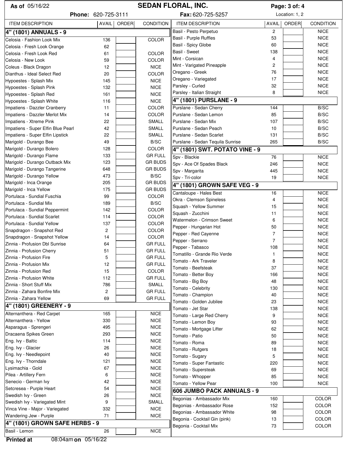| As of 05/16/22                                            |                     |       |                  | <b>SEDAN FLORAL, INC.</b>                       | Page: 3 of: 4  |                |                            |
|-----------------------------------------------------------|---------------------|-------|------------------|-------------------------------------------------|----------------|----------------|----------------------------|
|                                                           | Phone: 620-725-3111 |       |                  | Fax: 620-725-5257                               |                | Location: 1, 2 |                            |
| <b>ITEM DESCRIPTION</b>                                   | AVAIL               | ORDER | <b>CONDITION</b> | <b>ITEM DESCRIPTION</b>                         | <b>AVAIL</b>   | <b>ORDER</b>   | <b>CONDITION</b>           |
| 4" (1801) ANNUALS - 9                                     |                     |       |                  | Basil - Pesto Perpetuo                          | $\mathbf{2}$   |                | <b>NICE</b>                |
| Celosia - Fashion Look Mix                                | 136                 |       | <b>COLOR</b>     | Basil - Purple Ruffles                          | 53             |                | <b>NICE</b>                |
| Celosia - Fresh Look Orange                               | 62                  |       |                  | Basil - Spicy Globe                             | 60             |                | <b>NICE</b>                |
| Celosia - Fresh Look Red                                  | 61                  |       | <b>COLOR</b>     | Basil - Sweet                                   | 138            |                | <b>NICE</b>                |
| Celosia - New Look                                        | 59                  |       | COLOR            | Mint - Corsican                                 | 4              |                | <b>NICE</b>                |
| Coleus - Black Dragon                                     | 12                  |       | <b>NICE</b>      | Mint - Varigated Pineapple                      | $\mathbf{2}$   |                | <b>NICE</b>                |
| Dianthus - Ideal Select Red                               | 20                  |       | COLOR            | Oregano - Greek                                 | 76             |                | <b>NICE</b>                |
| Hypoestes - Splash Mix                                    | 145                 |       | <b>NICE</b>      | Oregano - Variegated                            | 17             |                | <b>NICE</b>                |
| Hypoestes - Splash Pink                                   | 132                 |       | <b>NICE</b>      | Parsley - Curled                                | 32             |                | <b>NICE</b>                |
| Hypoestes - Splash Red                                    | 161                 |       | <b>NICE</b>      | Parsley - Italian Straight                      | 8              |                | <b>NICE</b>                |
| Hypoestes - Splash White                                  | 116                 |       | <b>NICE</b>      | 4" (1801) PURSLANE - 9                          |                |                |                            |
| Impatiens - Dazzler Cranberry                             | 11                  |       | <b>COLOR</b>     | Purslane - Sedan Cherry                         | 144            |                | B/SC                       |
| Impatiens - Dazzler Merlot Mix                            | 14                  |       | <b>COLOR</b>     | Purslane - Sedan Lemon                          | 85             |                | B/SC                       |
| Impatiens - Xtreme Pink                                   | 22                  |       | <b>SMALL</b>     | Purslane - Sedan Mix                            | 107            |                | B/SC                       |
| Impatiens - Super Elfin Blue Pearl                        | 42                  |       | <b>SMALL</b>     | Purslane - Sedan Peach                          | 10             |                | B/SC                       |
| Impatiens - Super Elfin Lipstick                          | 22                  |       | <b>SMALL</b>     | Purslane - Sedan Scarlet                        | 131            |                | B/SC                       |
| Marigold - Durango Bee                                    | 49                  |       | B/SC             | Purslane - Sedan Tequila Sunrise                | 265            |                | B/SC                       |
| Marigold - Durango Bolero                                 | 128                 |       | COLOR            | 4" (1801) SWT. POTATO VINE - 9                  |                |                |                            |
| Marigold - Durango Flame                                  | 133                 |       | <b>GR FULL</b>   | Spv - Blackie                                   | 76             |                | <b>NICE</b>                |
| Marigold - Durango Outback Mix                            | 123                 |       | <b>GR BUDS</b>   | Spv - Ace Of Spades Black                       | 246            |                | <b>NICE</b>                |
| Marigold - Durango Tangerine                              | 648                 |       | <b>GR BUDS</b>   | Spv - Margarita                                 | 445            |                | <b>NICE</b>                |
| Marigold - Durango Yellow                                 | 473                 |       | B/SC             | Spv - Tri-color                                 | 19             |                | <b>NICE</b>                |
| Marigold - Inca Orange                                    | 205                 |       | <b>GR BUDS</b>   | 4" (1801) GROWN SAFE VEG - 9                    |                |                |                            |
| Marigold - Inca Yellow                                    | 175                 |       | <b>GR BUDS</b>   | Cantaloupe - Hales Best                         | 16             |                | <b>NICE</b>                |
| Portulaca - Sundial Fuschia                               | 99                  |       | COLOR            | Okra - Clemson Spineless                        | 4              |                | <b>NICE</b>                |
| Portulaca - Sundial Mix                                   | 189                 |       | B/SC             | Squash - Yellow Summer                          | 15             |                | <b>NICE</b>                |
| Portulaca - Sundial Peppermint                            | 142                 |       | COLOR            | Squash - Zucchini                               | 11             |                | <b>NICE</b>                |
| Portulaca - Sundial Scarlet                               | 114                 |       | COLOR            | Watermelon - Crimson Sweet                      | 6              |                | <b>NICE</b>                |
| Portulaca - Sundial Yellow                                | 137                 |       | COLOR            | Pepper - Hungarian Hot                          | 50             |                | <b>NICE</b>                |
| Snapdragon - Snapshot Red<br>Snapdragon - Snapshot Yellow | $\mathbf{2}$<br>14  |       | COLOR<br>COLOR   | Pepper - Red Cayenne                            | 7              |                | <b>NICE</b>                |
| Zinnia - Profusion Dbl Sunrise                            | 64                  |       | <b>GR FULL</b>   | Pepper - Serrano                                | $\overline{7}$ |                | <b>NICE</b>                |
| Zinnia - Profusion Cherry                                 | 51                  |       | <b>GR FULL</b>   | Pepper - Tabasco                                | 108            |                | <b>NICE</b>                |
| Zinnia - Profusion Fire                                   | 5                   |       | <b>GR FULL</b>   | Tomatillo - Grande Rio Verde                    | 1              |                | <b>NICE</b>                |
| Zinnia - Profusion Mix                                    | 12                  |       | <b>GR FULL</b>   | Tomato - Ark Traveler                           | 8              |                | <b>NICE</b>                |
| Zinnia - Profusion Red                                    | 15                  |       | COLOR            | Tomato - Beefsteak                              | 37             |                | <b>NICE</b>                |
| Zinnia - Profusion White                                  | 112                 |       | <b>GR FULL</b>   | Tomato - Better Boy                             | 166            |                | <b>NICE</b>                |
| Zinnia - Short Stuff Mix                                  | 786                 |       | SMALL            | Tomato - Big Boy                                | 48             |                | <b>NICE</b>                |
| Zinnia - Zahara Bonfire Mix                               | $\overline{c}$      |       | <b>GR FULL</b>   | Tomato - Celebrity                              | 130            |                | <b>NICE</b>                |
| Zinnia - Zahara Yellow                                    | 69                  |       | <b>GR FULL</b>   | Tomato - Champion                               | 40             |                | <b>NICE</b>                |
| 4" (1801) GREENERY - 9                                    |                     |       |                  | Tomato - Golden Jubilee                         | 23             |                | <b>NICE</b>                |
| Alternanthera - Red Carpet                                | 165                 |       | <b>NICE</b>      | Tomato - Jet Star                               | 138            |                | <b>NICE</b>                |
| Alternanthera - Yellow                                    | 330                 |       | <b>NICE</b>      | Tomato - Large Red Cherry<br>Tomato - Lemon Boy | 9<br>93        |                | <b>NICE</b>                |
| Asparagus - Sprengeri                                     | 495                 |       | <b>NICE</b>      | Tomato - Mortgage Lifter                        | 62             |                | <b>NICE</b>                |
| Dracaena Spikes Green                                     | 293                 |       | <b>NICE</b>      | Tomato - Patio                                  | 50             |                | <b>NICE</b><br><b>NICE</b> |
| Eng. Ivy - Baltic                                         | 114                 |       | <b>NICE</b>      | Tomato - Roma                                   | 89             |                | <b>NICE</b>                |
| Eng. Ivy - Glacier                                        | 26                  |       | <b>NICE</b>      | Tomato - Rutgers                                | 18             |                | <b>NICE</b>                |
| Eng. Ivy - Needlepoint                                    | 40                  |       | <b>NICE</b>      | Tomato - Sugary                                 | 5              |                | <b>NICE</b>                |
| Eng. Ivy - Thorndale                                      | 121                 |       | <b>NICE</b>      | Tomato - Super Fantastic                        | 220            |                | <b>NICE</b>                |
| Lysimachia - Gold                                         | 67                  |       | <b>NICE</b>      | Tomato - Supersteak                             | 69             |                | <b>NICE</b>                |
| Pilea - Artillery Fern                                    | 6                   |       | <b>NICE</b>      | Tomato - Whopper                                | 85             |                | <b>NICE</b>                |
| Senecio - German Ivy                                      | 42                  |       | <b>NICE</b>      | Tomato - Yellow Pear                            | 100            |                | <b>NICE</b>                |
| Setcresea - Purple Heart                                  | 54                  |       | <b>NICE</b>      | 606 JUMBO PACK ANNUALS - 9                      |                |                |                            |
| Swedish Ivy - Green                                       | 26                  |       | <b>NICE</b>      | Begonias - Ambassador Mix                       |                |                | <b>COLOR</b>               |
| Swedish Ivy - Variegated Mint                             | 9                   |       | SMALL            | Begonias - Ambassador Rose                      | 160<br>152     |                | <b>COLOR</b>               |
| Vinca Vine - Major - Variegated                           | 332                 |       | <b>NICE</b>      | Begonias - Ambassador White                     | 98             |                | <b>COLOR</b>               |
| Wandering Jew - Purple                                    | 71                  |       | <b>NICE</b>      | Begonia - Cocktail Gin (pink)                   | 13             |                | COLOR                      |
| 4" (1801) GROWN SAFE HERBS - 9                            |                     |       |                  | Begonia - Cocktail Mix                          | 73             |                | COLOR                      |
| Basil - Lemon                                             | 26                  |       | <b>NICE</b>      |                                                 |                |                |                            |
| 08:04am on 05/16/22<br><b>Printed at</b>                  |                     |       |                  |                                                 |                |                |                            |